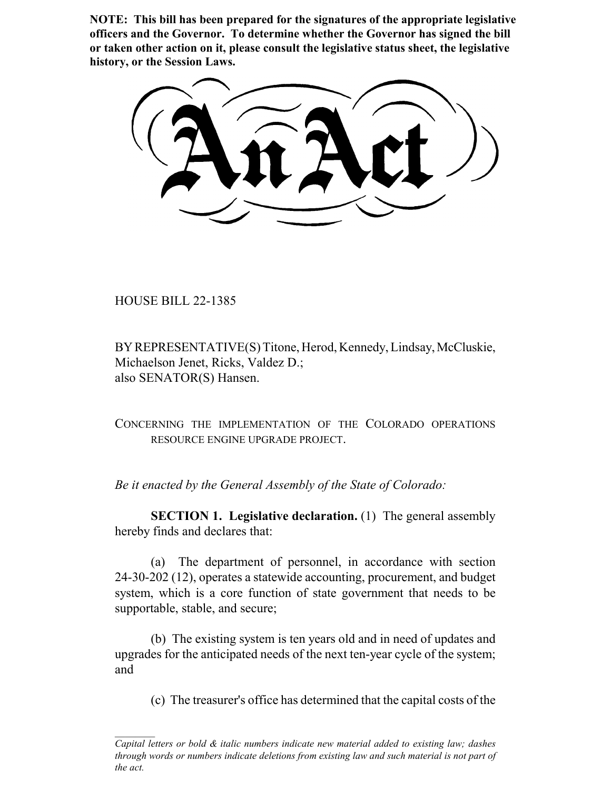**NOTE: This bill has been prepared for the signatures of the appropriate legislative officers and the Governor. To determine whether the Governor has signed the bill or taken other action on it, please consult the legislative status sheet, the legislative history, or the Session Laws.**

HOUSE BILL 22-1385

BY REPRESENTATIVE(S) Titone, Herod, Kennedy, Lindsay, McCluskie, Michaelson Jenet, Ricks, Valdez D.; also SENATOR(S) Hansen.

CONCERNING THE IMPLEMENTATION OF THE COLORADO OPERATIONS RESOURCE ENGINE UPGRADE PROJECT.

*Be it enacted by the General Assembly of the State of Colorado:*

**SECTION 1. Legislative declaration.** (1) The general assembly hereby finds and declares that:

(a) The department of personnel, in accordance with section 24-30-202 (12), operates a statewide accounting, procurement, and budget system, which is a core function of state government that needs to be supportable, stable, and secure;

(b) The existing system is ten years old and in need of updates and upgrades for the anticipated needs of the next ten-year cycle of the system; and

(c) The treasurer's office has determined that the capital costs of the

*Capital letters or bold & italic numbers indicate new material added to existing law; dashes through words or numbers indicate deletions from existing law and such material is not part of the act.*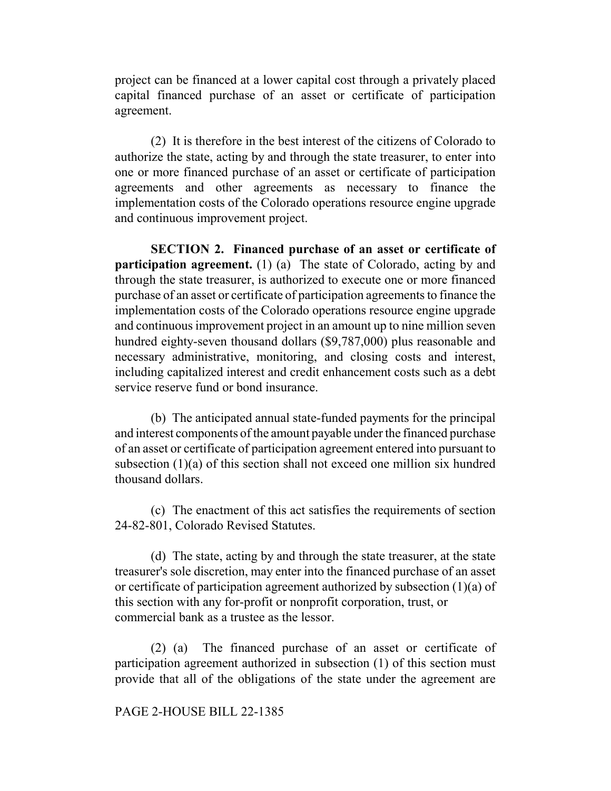project can be financed at a lower capital cost through a privately placed capital financed purchase of an asset or certificate of participation agreement.

(2) It is therefore in the best interest of the citizens of Colorado to authorize the state, acting by and through the state treasurer, to enter into one or more financed purchase of an asset or certificate of participation agreements and other agreements as necessary to finance the implementation costs of the Colorado operations resource engine upgrade and continuous improvement project.

**SECTION 2. Financed purchase of an asset or certificate of participation agreement.** (1) (a) The state of Colorado, acting by and through the state treasurer, is authorized to execute one or more financed purchase of an asset or certificate of participation agreements to finance the implementation costs of the Colorado operations resource engine upgrade and continuous improvement project in an amount up to nine million seven hundred eighty-seven thousand dollars (\$9,787,000) plus reasonable and necessary administrative, monitoring, and closing costs and interest, including capitalized interest and credit enhancement costs such as a debt service reserve fund or bond insurance.

(b) The anticipated annual state-funded payments for the principal and interest components of the amount payable under the financed purchase of an asset or certificate of participation agreement entered into pursuant to subsection (1)(a) of this section shall not exceed one million six hundred thousand dollars.

(c) The enactment of this act satisfies the requirements of section 24-82-801, Colorado Revised Statutes.

(d) The state, acting by and through the state treasurer, at the state treasurer's sole discretion, may enter into the financed purchase of an asset or certificate of participation agreement authorized by subsection (1)(a) of this section with any for-profit or nonprofit corporation, trust, or commercial bank as a trustee as the lessor.

(2) (a) The financed purchase of an asset or certificate of participation agreement authorized in subsection (1) of this section must provide that all of the obligations of the state under the agreement are

## PAGE 2-HOUSE BILL 22-1385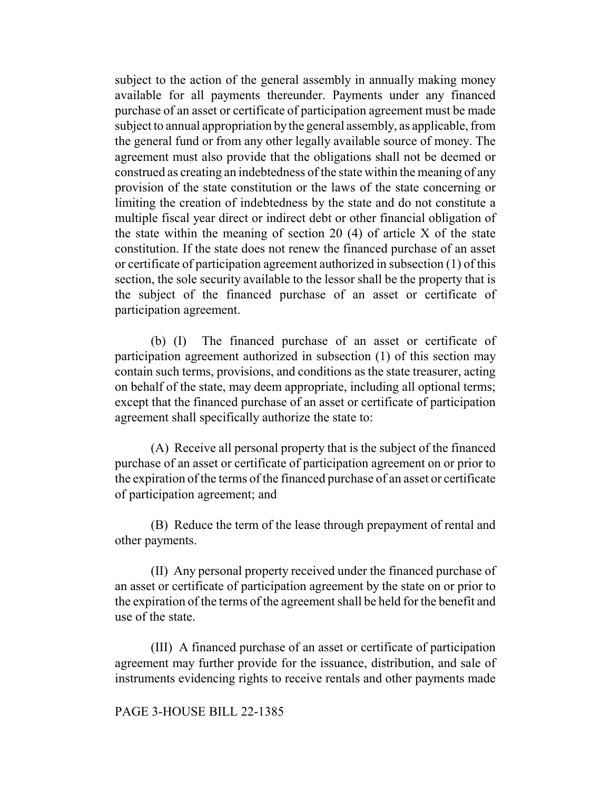subject to the action of the general assembly in annually making money available for all payments thereunder. Payments under any financed purchase of an asset or certificate of participation agreement must be made subject to annual appropriation by the general assembly, as applicable, from the general fund or from any other legally available source of money. The agreement must also provide that the obligations shall not be deemed or construed as creating an indebtedness of the state within the meaning of any provision of the state constitution or the laws of the state concerning or limiting the creation of indebtedness by the state and do not constitute a multiple fiscal year direct or indirect debt or other financial obligation of the state within the meaning of section 20  $(4)$  of article X of the state constitution. If the state does not renew the financed purchase of an asset or certificate of participation agreement authorized in subsection (1) of this section, the sole security available to the lessor shall be the property that is the subject of the financed purchase of an asset or certificate of participation agreement.

(b) (I) The financed purchase of an asset or certificate of participation agreement authorized in subsection (1) of this section may contain such terms, provisions, and conditions as the state treasurer, acting on behalf of the state, may deem appropriate, including all optional terms; except that the financed purchase of an asset or certificate of participation agreement shall specifically authorize the state to:

(A) Receive all personal property that is the subject of the financed purchase of an asset or certificate of participation agreement on or prior to the expiration of the terms of the financed purchase of an asset or certificate of participation agreement; and

(B) Reduce the term of the lease through prepayment of rental and other payments.

(II) Any personal property received under the financed purchase of an asset or certificate of participation agreement by the state on or prior to the expiration of the terms of the agreement shall be held for the benefit and use of the state.

(III) A financed purchase of an asset or certificate of participation agreement may further provide for the issuance, distribution, and sale of instruments evidencing rights to receive rentals and other payments made

## PAGE 3-HOUSE BILL 22-1385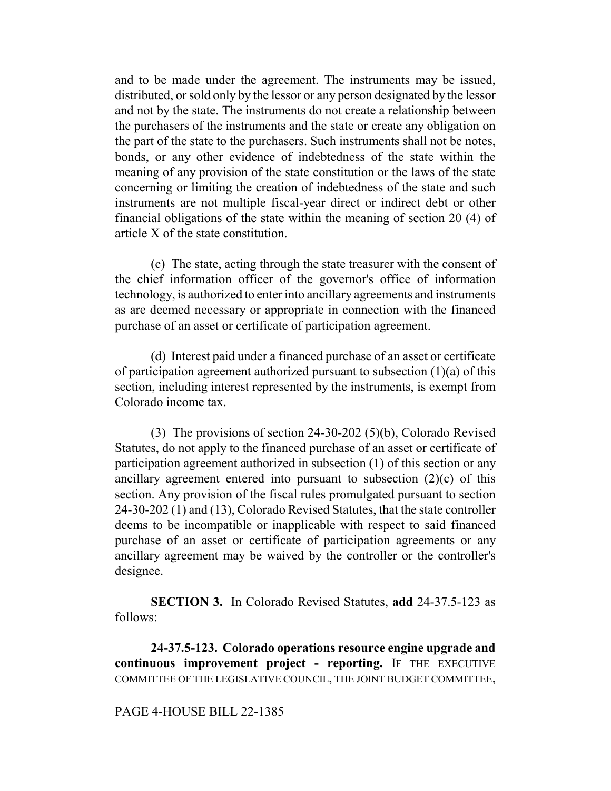and to be made under the agreement. The instruments may be issued, distributed, or sold only by the lessor or any person designated by the lessor and not by the state. The instruments do not create a relationship between the purchasers of the instruments and the state or create any obligation on the part of the state to the purchasers. Such instruments shall not be notes, bonds, or any other evidence of indebtedness of the state within the meaning of any provision of the state constitution or the laws of the state concerning or limiting the creation of indebtedness of the state and such instruments are not multiple fiscal-year direct or indirect debt or other financial obligations of the state within the meaning of section 20 (4) of article X of the state constitution.

(c) The state, acting through the state treasurer with the consent of the chief information officer of the governor's office of information technology, is authorized to enter into ancillary agreements and instruments as are deemed necessary or appropriate in connection with the financed purchase of an asset or certificate of participation agreement.

(d) Interest paid under a financed purchase of an asset or certificate of participation agreement authorized pursuant to subsection (1)(a) of this section, including interest represented by the instruments, is exempt from Colorado income tax.

(3) The provisions of section 24-30-202 (5)(b), Colorado Revised Statutes, do not apply to the financed purchase of an asset or certificate of participation agreement authorized in subsection (1) of this section or any ancillary agreement entered into pursuant to subsection (2)(c) of this section. Any provision of the fiscal rules promulgated pursuant to section 24-30-202 (1) and (13), Colorado Revised Statutes, that the state controller deems to be incompatible or inapplicable with respect to said financed purchase of an asset or certificate of participation agreements or any ancillary agreement may be waived by the controller or the controller's designee.

**SECTION 3.** In Colorado Revised Statutes, **add** 24-37.5-123 as follows:

**24-37.5-123. Colorado operations resource engine upgrade and continuous improvement project - reporting.** IF THE EXECUTIVE COMMITTEE OF THE LEGISLATIVE COUNCIL, THE JOINT BUDGET COMMITTEE,

## PAGE 4-HOUSE BILL 22-1385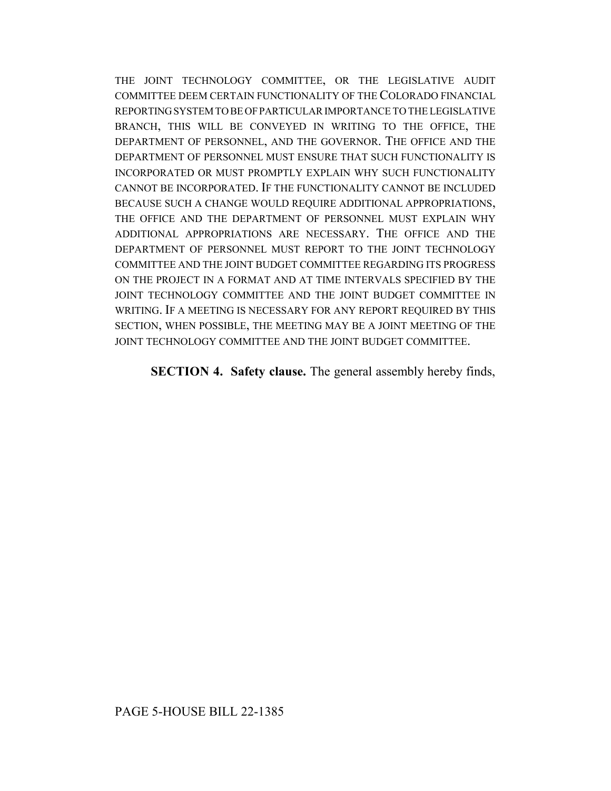THE JOINT TECHNOLOGY COMMITTEE, OR THE LEGISLATIVE AUDIT COMMITTEE DEEM CERTAIN FUNCTIONALITY OF THE COLORADO FINANCIAL REPORTING SYSTEM TO BE OF PARTICULAR IMPORTANCE TO THE LEGISLATIVE BRANCH, THIS WILL BE CONVEYED IN WRITING TO THE OFFICE, THE DEPARTMENT OF PERSONNEL, AND THE GOVERNOR. THE OFFICE AND THE DEPARTMENT OF PERSONNEL MUST ENSURE THAT SUCH FUNCTIONALITY IS INCORPORATED OR MUST PROMPTLY EXPLAIN WHY SUCH FUNCTIONALITY CANNOT BE INCORPORATED. IF THE FUNCTIONALITY CANNOT BE INCLUDED BECAUSE SUCH A CHANGE WOULD REQUIRE ADDITIONAL APPROPRIATIONS, THE OFFICE AND THE DEPARTMENT OF PERSONNEL MUST EXPLAIN WHY ADDITIONAL APPROPRIATIONS ARE NECESSARY. THE OFFICE AND THE DEPARTMENT OF PERSONNEL MUST REPORT TO THE JOINT TECHNOLOGY COMMITTEE AND THE JOINT BUDGET COMMITTEE REGARDING ITS PROGRESS ON THE PROJECT IN A FORMAT AND AT TIME INTERVALS SPECIFIED BY THE JOINT TECHNOLOGY COMMITTEE AND THE JOINT BUDGET COMMITTEE IN WRITING. IF A MEETING IS NECESSARY FOR ANY REPORT REQUIRED BY THIS SECTION, WHEN POSSIBLE, THE MEETING MAY BE A JOINT MEETING OF THE JOINT TECHNOLOGY COMMITTEE AND THE JOINT BUDGET COMMITTEE.

**SECTION 4. Safety clause.** The general assembly hereby finds,